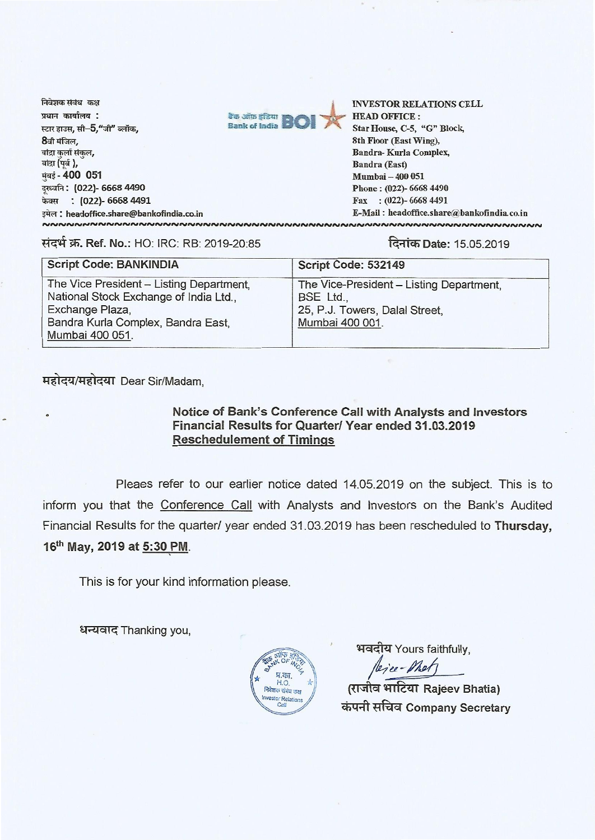



**INVESTOR RELATIONS CELL HEAD OFFICE:** Star House, C-5, "G" Block, 8th Floor (East Wing), **Bandra-Kurla Complex. Bandra (East)** Mumbai - 400 051 Phone: (022)-6668 4490 Fax: (022)-6668 4491 E-Mail: headoffice.share@bankofindia.co.in <u> ผมผมผมผมผมผมผมผมผมผมผมผมผม</u>

#### संदर्भ क्र. Ref. No.: HO: IRC: RB: 2019-20:85

दिनांक Date: 15.05.2019

| <b>Script Code: BANKINDIA</b>                                                      | Script Code: 532149                                   |
|------------------------------------------------------------------------------------|-------------------------------------------------------|
| The Vice President - Listing Department,<br>National Stock Exchange of India Ltd., | The Vice-President - Listing Department,<br>BSE Ltd., |
| Exchange Plaza,<br>Bandra Kurla Complex, Bandra East,<br>Mumbai 400 051.           | 25, P.J. Towers, Dalal Street,<br>Mumbai 400 001.     |

महोदय/महोदया Dear Sir/Madam,

### Notice of Bank's Conference Call with Analysts and Investors Financial Results for Quarter/ Year ended 31.03.2019 **Reschedulement of Timings**

Pleaes refer to our earlier notice dated 14.05.2019 on the subject. This is to inform you that the Conference Call with Analysts and Investors on the Bank's Audited Financial Results for the quarter/ year ended 31.03.2019 has been rescheduled to Thursday, 16th May, 2019 at 5:30 PM.

This is for your kind information please.

धन्यवाद Thanking you.



भवदीय Yours faithfully.

(राजीव भाटिया Rajeev Bhatia) कंपनी सचिव Company Secretary